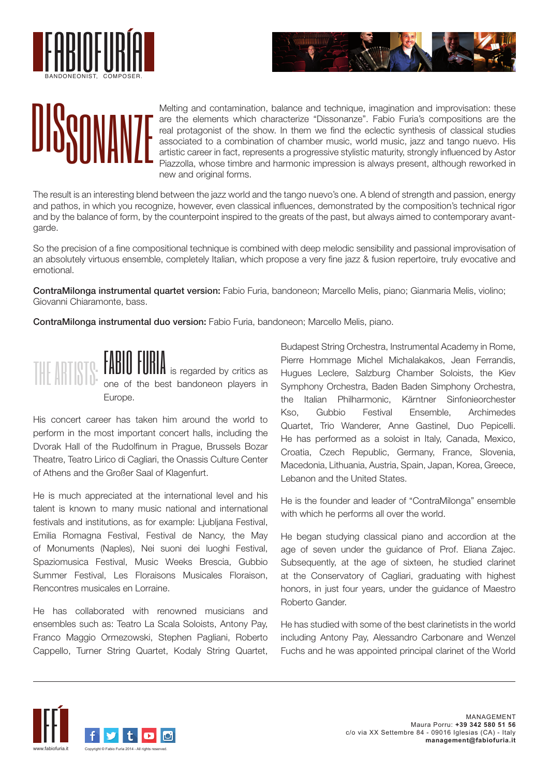





Melting and contamination, balance and technique, imagination and improvisation: these are the elements which characterize "Dissonanze". Fabio Furia's compositions are the real protagonist of the show. In them we find the eclectic synthesis of classical studies associated to a combination of chamber music, world music, jazz and tango nuevo. His artistic career in fact, represents a progressive stylistic maturity, strongly influenced by Astor Piazzolla, whose timbre and harmonic impression is always present, although reworked in new and original forms.

The result is an interesting blend between the jazz world and the tango nuevo's one. A blend of strength and passion, energy and pathos, in which you recognize, however, even classical influences, demonstrated by the composition's technical rigor and by the balance of form, by the counterpoint inspired to the greats of the past, but always aimed to contemporary avantgarde.

So the precision of a fine compositional technique is combined with deep melodic sensibility and passional improvisation of an absolutely virtuous ensemble, completely Italian, which propose a very fine jazz & fusion repertoire, truly evocative and emotional.

ContraMilonga instrumental quartet version: Fabio Furia, bandoneon; Marcello Melis, piano; Gianmaria Melis, violino; Giovanni Chiaramonte, bass.

ContraMilonga instrumental duo version: Fabio Furia, bandoneon; Marcello Melis, piano.



**FABIO FURIA** is regarded by critics as one of the best bandoneon players in Europe.

His concert career has taken him around the world to perform in the most important concert halls, including the Dvorak Hall of the Rudolfinum in Prague, Brussels Bozar Theatre, Teatro Lirico di Cagliari, the Onassis Culture Center of Athens and the Großer Saal of Klagenfurt.

He is much appreciated at the international level and his talent is known to many music national and international festivals and institutions, as for example: Ljubljana Festival, Emilia Romagna Festival, Festival de Nancy, the May of Monuments (Naples), Nei suoni dei luoghi Festival, Spaziomusica Festival, Music Weeks Brescia, Gubbio Summer Festival, Les Floraisons Musicales Floraison, Rencontres musicales en Lorraine.

He has collaborated with renowned musicians and ensembles such as: Teatro La Scala Soloists, Antony Pay, Franco Maggio Ormezowski, Stephen Pagliani, Roberto Cappello, Turner String Quartet, Kodaly String Quartet,

Budapest String Orchestra, Instrumental Academy in Rome, Pierre Hommage Michel Michalakakos, Jean Ferrandis, Hugues Leclere, Salzburg Chamber Soloists, the Kiev Symphony Orchestra, Baden Baden Simphony Orchestra, the Italian Philharmonic, Kärntner Sinfonieorchester Kso, Gubbio Festival Ensemble, Archimedes Quartet, Trio Wanderer, Anne Gastinel, Duo Pepicelli. He has performed as a soloist in Italy, Canada, Mexico, Croatia, Czech Republic, Germany, France, Slovenia, Macedonia, Lithuania, Austria, Spain, Japan, Korea, Greece, Lebanon and the United States.

He is the founder and leader of "ContraMilonga" ensemble with which he performs all over the world.

He began studying classical piano and accordion at the age of seven under the guidance of Prof. Eliana Zajec. Subsequently, at the age of sixteen, he studied clarinet at the Conservatory of Cagliari, graduating with highest honors, in just four years, under the guidance of Maestro Roberto Gander.

He has studied with some of the best clarinetists in the world including Antony Pay, Alessandro Carbonare and Wenzel Fuchs and he was appointed principal clarinet of the World

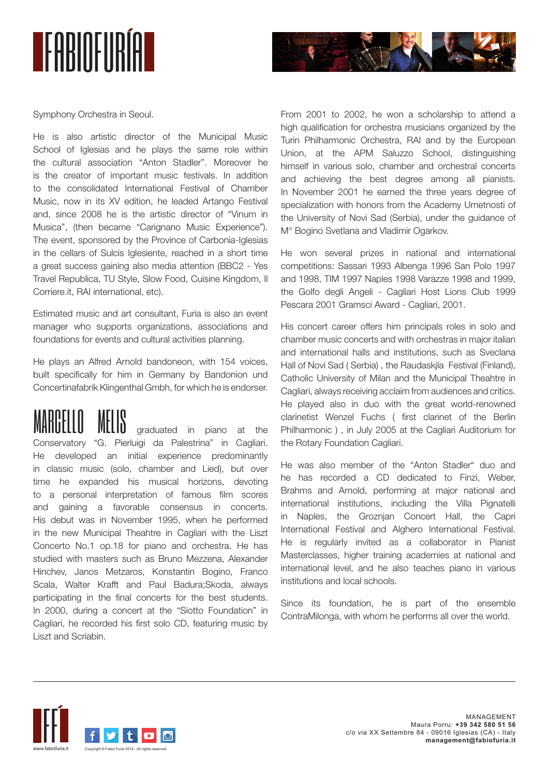



Symphony Orchestra in Seoul.

He is also artistic director of the Municipal Music School of Iglesias and he plays the same role within the cultural association "Anton Stadler". Moreover he is the creator of important music festivals. In addition to the consolidated International Festival of Chamber Music, now in its XV edition, he leaded Artango Festival and, since 2008 he is the artistic director of "Vinum in Musica", (then became "Carignano Music Experience"). The event, sponsored by the Province of Carbonia-Iglesias in the cellars of Sulcis Iglesiente, reached in a short time a great success gaining also media attention (BBC2 - Yes Travel Republica, TU Style, Slow Food, Cuisine Kingdom, Il Corriere.it, RAI international, etc).

Estimated music and art consultant, Furia is also an event manager who supports organizations, associations and foundations for events and cultural activities planning.

He plays an Alfred Arnold bandoneon, with 154 voices, built specifically for him in Germany by Bandonion und Concertinafabrik Klingenthal Gmbh, for which he is endorser.

graduated in piano at the Conservatory "G. Pierluigi da Palestrina" in Cagliari. He developed an initial experience predominantly in classic music (solo, chamber and Lied), but over time he expanded his musical horizons, devoting to a personal interpretation of famous film scores and gaining a favorable consensus in concerts. His debut was in November 1995, when he performed in the new Municipal Theahtre in Cagliari with the Liszt Concerto No.1 op.18 for piano and orchestra. He has studied with masters such as Bruno Mezzena, Alexander Hinchev, Janos Metzaros, Konstantin Bogino, Franco Scala, Walter Krafft and Paul Badura;Skoda, always participating in the final concerts for the best students. In 2000, during a concert at the "Siotto Foundation" in Cagliari, he recorded his first solo CD, featuring music by Liszt and Scriabin.

From 2001 to 2002, he won a scholarship to attend a high qualification for orchestra musicians organized by the Turin Philharmonic Orchestra, RAI and by the European Union, at the APM Saluzzo School, distinguishing himself in various solo, chamber and orchestral concerts and achieving the best degree among all pianists. In November 2001 he earned the three years degree of specialization with honors from the Academy Umetnosti of the University of Novi Sad (Serbia), under the guidance of M° Bogino Svetlana and Vladimir Ogarkov.

He won several prizes in national and international competitions: Sassari 1993 Albenga 1996 San Polo 1997 and 1998, TIM 1997 Naples 1998 Varazze 1998 and 1999, the Golfo degli Angeli - Cagliari Host Lions Club 1999 Pescara 2001 Gramsci Award - Cagliari, 2001.

His concert career offers him principals roles in solo and chamber music concerts and with orchestras in major italian and international halls and institutions, such as Sveclana Hall of Novi Sad ( Serbia) , the Raudaskjla Festival (Finland), Catholic University of Milan and the Municipal Theahtre in Cagliari, always receiving acclaim from audiences and critics. He played also in duo with the great world-renowned clarinetist Wenzel Fuchs ( first clarinet of the Berlin Philharmonic ) , in July 2005 at the Cagliari Auditorium for the Rotary Foundation Cagliari.

He was also member of the "Anton Stadler" duo and he has recorded a CD dedicated to Finzi, Weber, Brahms and Arnold, performing at major national and international institutions, including the Villa Pignatelli in Naples, the Groznjan Concert Hall, the Capri International Festival and Alghero International Festival. He is regularly invited as a collaborator in Pianist Masterclasses, higher training academies at national and international level, and he also teaches piano in various institutions and local schools.

Since its foundation, he is part of the ensemble ContraMilonga, with whom he performs all over the world.

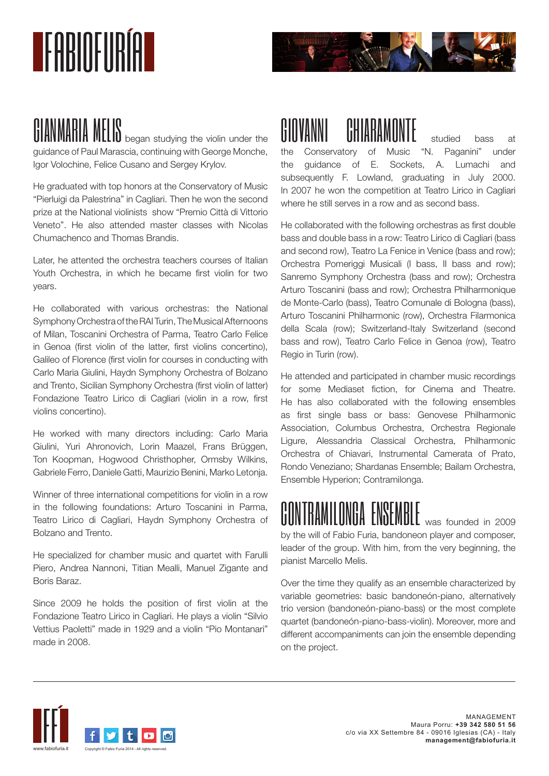# **TEARINEURÍAL**



**GIANMARIA MELIS** began studying the violin under the guidance of Paul Marascia, continuing with George Monche, Igor Volochine, Felice Cusano and Sergey Krylov.

He graduated with top honors at the Conservatory of Music "Pierluigi da Palestrina" in Cagliari. Then he won the second prize at the National violinists show "Premio Città di Vittorio Veneto". He also attended master classes with Nicolas Chumachenco and Thomas Brandis.

Later, he attented the orchestra teachers courses of Italian Youth Orchestra, in which he became first violin for two years.

He collaborated with various orchestras: the National Symphony Orchestra of the RAI Turin, The Musical Afternoons of Milan, Toscanini Orchestra of Parma, Teatro Carlo Felice in Genoa (first violin of the latter, first violins concertino), Galileo of Florence (first violin for courses in conducting with Carlo Maria Giulini, Haydn Symphony Orchestra of Bolzano and Trento, Sicilian Symphony Orchestra (first violin of latter) Fondazione Teatro Lirico di Cagliari (violin in a row, first violins concertino).

He worked with many directors including: Carlo Maria Giulini, Yuri Ahronovich, Lorin Maazel, Frans Brüggen, Ton Koopman, Hogwood Christhopher, Ormsby Wilkins, Gabriele Ferro, Daniele Gatti, Maurizio Benini, Marko Letonja.

Winner of three international competitions for violin in a row in the following foundations: Arturo Toscanini in Parma, Teatro Lirico di Cagliari, Haydn Symphony Orchestra of Bolzano and Trento.

He specialized for chamber music and quartet with Farulli Piero, Andrea Nannoni, Titian Mealli, Manuel Zigante and Boris Baraz.

Since 2009 he holds the position of first violin at the Fondazione Teatro Lirico in Cagliari. He plays a violin "Silvio Vettius Paoletti" made in 1929 and a violin "Pio Montanari" made in 2008.

## GIOVANNI CHIARAMONTE studied bass at

the Conservatory of Music "N. Paganini" under the guidance of E. Sockets, A. Lumachi and subsequently F. Lowland, graduating in July 2000. In 2007 he won the competition at Teatro Lirico in Cagliari where he still serves in a row and as second bass.

He collaborated with the following orchestras as first double bass and double bass in a row: Teatro Lirico di Cagliari (bass and second row), Teatro La Fenice in Venice (bass and row); Orchestra Pomeriggi Musicali (I bass, II bass and row); Sanremo Symphony Orchestra (bass and row); Orchestra Arturo Toscanini (bass and row); Orchestra Philharmonique de Monte-Carlo (bass), Teatro Comunale di Bologna (bass), Arturo Toscanini Philharmonic (row), Orchestra Filarmonica della Scala (row); Switzerland-Italy Switzerland (second bass and row), Teatro Carlo Felice in Genoa (row), Teatro Regio in Turin (row).

He attended and participated in chamber music recordings for some Mediaset fiction, for Cinema and Theatre. He has also collaborated with the following ensembles as first single bass or bass: Genovese Philharmonic Association, Columbus Orchestra, Orchestra Regionale Ligure, Alessandria Classical Orchestra, Philharmonic Orchestra of Chiavari, Instrumental Camerata of Prato, Rondo Veneziano; Shardanas Ensemble; Bailam Orchestra, Ensemble Hyperion; Contramilonga.

### CONTRAMILONGA ENSEMBLE was founded in 2009

by the will of Fabio Furia, bandoneon player and composer, leader of the group. With him, from the very beginning, the pianist Marcello Melis.

Over the time they qualify as an ensemble characterized by variable geometries: basic bandoneón-piano, alternatively trio version (bandoneón-piano-bass) or the most complete quartet (bandoneón-piano-bass-violin). Moreover, more and different accompaniments can join the ensemble depending on the project.